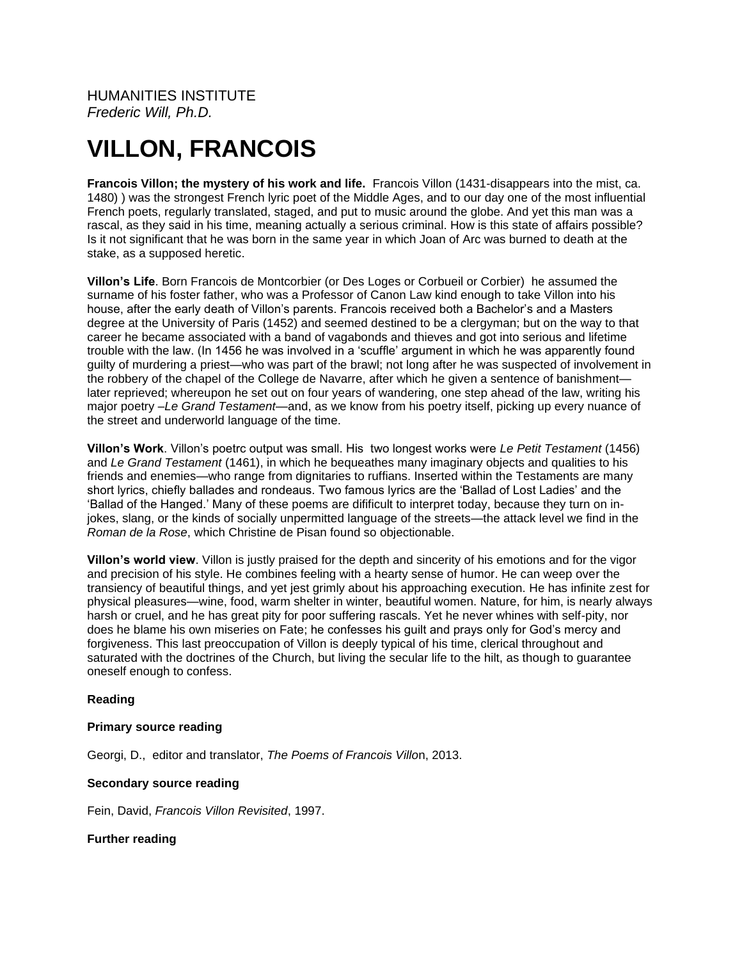HUMANITIES INSTITUTE *Frederic Will, Ph.D.*

# **VILLON, FRANCOIS**

**Francois Villon; the mystery of his work and life.** Francois Villon (1431-disappears into the mist, ca. 1480) ) was the strongest French lyric poet of the Middle Ages, and to our day one of the most influential French poets, regularly translated, staged, and put to music around the globe. And yet this man was a rascal, as they said in his time, meaning actually a serious criminal. How is this state of affairs possible? Is it not significant that he was born in the same year in which Joan of Arc was burned to death at the stake, as a supposed heretic.

**Villon's Life**. Born Francois de Montcorbier (or Des Loges or Corbueil or Corbier) he assumed the surname of his foster father, who was a Professor of Canon Law kind enough to take Villon into his house, after the early death of Villon's parents. Francois received both a Bachelor's and a Masters degree at the University of Paris (1452) and seemed destined to be a clergyman; but on the way to that career he became associated with a band of vagabonds and thieves and got into serious and lifetime trouble with the law. (In 1456 he was involved in a 'scuffle' argument in which he was apparently found guilty of murdering a priest—who was part of the brawl; not long after he was suspected of involvement in the robbery of the chapel of the College de Navarre, after which he given a sentence of banishment later reprieved; whereupon he set out on four years of wandering, one step ahead of the law, writing his major poetry –*Le Grand Testament*—and, as we know from his poetry itself, picking up every nuance of the street and underworld language of the time.

**Villon's Work**. Villon's poetrc output was small. His two longest works were *Le Petit Testament* (1456) and *Le Grand Testament* (1461), in which he bequeathes many imaginary objects and qualities to his friends and enemies—who range from dignitaries to ruffians. Inserted within the Testaments are many short lyrics, chiefly ballades and rondeaus. Two famous lyrics are the 'Ballad of Lost Ladies' and the 'Ballad of the Hanged.' Many of these poems are difificult to interpret today, because they turn on injokes, slang, or the kinds of socially unpermitted language of the streets—the attack level we find in the *Roman de la Rose*, which Christine de Pisan found so objectionable.

**Villon's world view**. Villon is justly praised for the depth and sincerity of his emotions and for the vigor and precision of his style. He combines feeling with a hearty sense of humor. He can weep over the transiency of beautiful things, and yet jest grimly about his approaching execution. He has infinite zest for physical pleasures—wine, food, warm shelter in winter, beautiful women. Nature, for him, is nearly always harsh or cruel, and he has great pity for poor suffering rascals. Yet he never whines with self-pity, nor does he blame his own miseries on Fate; he confesses his guilt and prays only for God's mercy and forgiveness. This last preoccupation of Villon is deeply typical of his time, clerical throughout and saturated with the doctrines of the Church, but living the secular life to the hilt, as though to guarantee oneself enough to confess.

## **Reading**

### **Primary source reading**

Georgi, D., editor and translator, *The Poems of Francois Villo*n, 2013.

### **Secondary source reading**

Fein, David, *Francois Villon Revisited*, 1997.

### **Further reading**